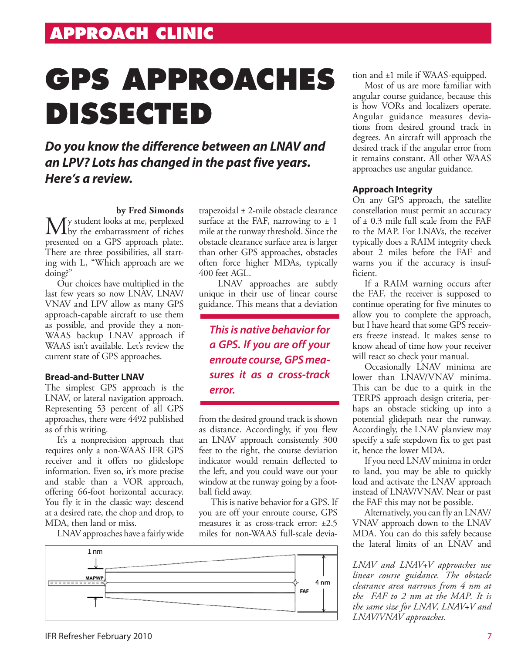# **GPS APPROACHES DISSECTED**

### *Do you know the difference between an LNAV and an LPV? Lots has changed in the past five years. Here's a review.*

### **by Fred Simonds**

My student looks at me, perplexed<br>with the embarrassment of riches presented on a GPS approach plate:. There are three possibilities, all starting with L, "Which approach are we doing?"

Our choices have multiplied in the last few years so now LNAV, LNAV/ VNAV and LPV allow as many GPS approach-capable aircraft to use them as possible, and provide they a non-WAAS backup LNAV approach if WAAS isn't available. Let's review the current state of GPS approaches.

### **Bread-and-Butter LNAV**

The simplest GPS approach is the LNAV, or lateral navigation approach. Representing 53 percent of all GPS approaches, there were 4492 published as of this writing.

It's a nonprecision approach that requires only a non-WAAS IFR GPS receiver and it offers no glideslope information. Even so, it's more precise and stable than a VOR approach, offering 66-foot horizontal accuracy. You fly it in the classic way: descend at a desired rate, the chop and drop, to MDA, then land or miss.

LNAV approaches have a fairly wide

trapezoidal ± 2-mile obstacle clearance surface at the FAF, narrowing to  $\pm$  1 mile at the runway threshold. Since the obstacle clearance surface area is larger than other GPS approaches, obstacles often force higher MDAs, typically 400 feet AGL.

 LNAV approaches are subtly unique in their use of linear course guidance. This means that a deviation

*This is native behavior for a GPS. If you are off your enroute course, GPS measures it as a cross-track error.* 

from the desired ground track is shown as distance. Accordingly, if you flew an LNAV approach consistently 300 feet to the right, the course deviation indicator would remain deflected to the left, and you could wave out your window at the runway going by a football field away.

This is native behavior for a GPS. If you are off your enroute course, GPS measures it as cross-track error: ±2.5 miles for non-WAAS full-scale devia-



tion and ±1 mile if WAAS-equipped.

Most of us are more familiar with angular course guidance, because this is how VORs and localizers operate. Angular guidance measures deviations from desired ground track in degrees. An aircraft will approach the desired track if the angular error from it remains constant. All other WAAS approaches use angular guidance.

### **Approach Integrity**

On any GPS approach, the satellite constellation must permit an accuracy of ± 0.3 mile full scale from the FAF to the MAP. For LNAVs, the receiver typically does a RAIM integrity check about 2 miles before the FAF and warns you if the accuracy is insufficient.

If a RAIM warning occurs after the FAF, the receiver is supposed to continue operating for five minutes to allow you to complete the approach, but I have heard that some GPS receivers freeze instead. It makes sense to know ahead of time how your receiver will react so check your manual.

Occasionally LNAV minima are lower than LNAV/VNAV minima. This can be due to a quirk in the TERPS approach design criteria, perhaps an obstacle sticking up into a potential glidepath near the runway. Accordingly, the LNAV planview may specify a safe stepdown fix to get past it, hence the lower MDA.

If you need LNAV minima in order to land, you may be able to quickly load and activate the LNAV approach instead of LNAV/VNAV. Near or past the FAF this may not be possible.

Alternatively, you can fly an LNAV/ VNAV approach down to the LNAV MDA. You can do this safely because the lateral limits of an LNAV and

*LNAV and LNAV+V approaches use linear course guidance. The obstacle clearance area narrows from 4 nm at the FAF to 2 nm at the MAP. It is the same size for LNAV, LNAV+V and LNAV/VNAV approaches.*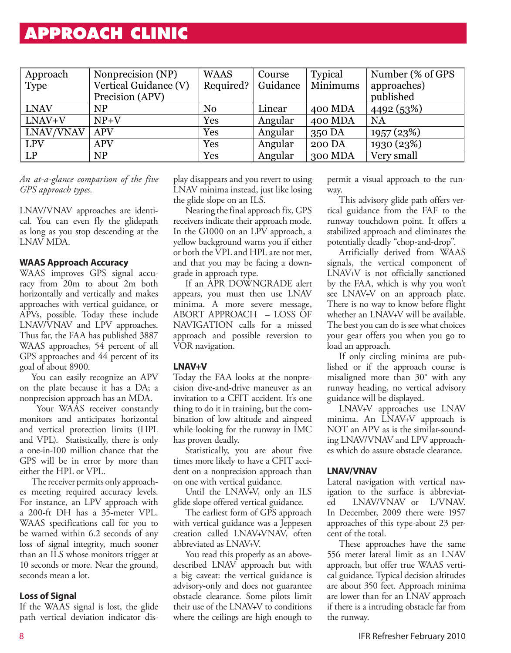### **approach clinic**

| Approach    | Nonprecision (NP)     | <b>WAAS</b>    | Course   | <b>Typical</b> | Number (% of GPS) |
|-------------|-----------------------|----------------|----------|----------------|-------------------|
| <b>Type</b> | Vertical Guidance (V) | Required?      | Guidance | Minimums       | approaches)       |
|             | Precision (APV)       |                |          |                | published         |
| <b>LNAV</b> | <b>NP</b>             | N <sub>0</sub> | Linear   | 400 MDA        | 4492 (53%)        |
| LNAV+V      | $NP+V$                | Yes            | Angular  | 400 MDA        | <b>NA</b>         |
| LNAV/VNAV   | <b>APV</b>            | Yes            | Angular  | 350 DA         | 1957 (23%)        |
| <b>LPV</b>  | <b>APV</b>            | Yes            | Angular  | 200 DA         | 1930 (23%)        |
| LP          | <b>NP</b>             | Yes            | Angular  | 300 MDA        | Very small        |

*An at-a-glance comparison of the five GPS approach types.*

LNAV/VNAV approaches are identical. You can even fly the glidepath as long as you stop descending at the LNAV MDA.

### **WAAS Approach Accuracy**

WAAS improves GPS signal accuracy from 20m to about 2m both horizontally and vertically and makes approaches with vertical guidance, or APVs, possible. Today these include LNAV/VNAV and LPV approaches. Thus far, the FAA has published 3887 WAAS approaches, 54 percent of all GPS approaches and 44 percent of its goal of about 8900.

You can easily recognize an APV on the plate because it has a DA; a nonprecision approach has an MDA.

Your WAAS receiver constantly monitors and anticipates horizontal and vertical protection limits (HPL and VPL). Statistically, there is only a one-in-100 million chance that the GPS will be in error by more than either the HPL or VPL.

The receiver permits only approaches meeting required accuracy levels. For instance, an LPV approach with a 200-ft DH has a 35-meter VPL. WAAS specifications call for you to be warned within 6.2 seconds of any loss of signal integrity, much sooner than an ILS whose monitors trigger at 10 seconds or more. Near the ground, seconds mean a lot.

### **Loss of Signal**

If the WAAS signal is lost, the glide path vertical deviation indicator display disappears and you revert to using LNAV minima instead, just like losing the glide slope on an ILS.

Nearing the final approach fix, GPS receivers indicate their approach mode. In the G1000 on an LPV approach, a yellow background warns you if either or both the VPL and HPL are not met, and that you may be facing a downgrade in approach type.

If an APR DOWNGRADE alert appears, you must then use LNAV minima. A more severe message, ABORT APPROACH – LOSS OF NAVIGATION calls for a missed approach and possible reversion to VOR navigation.

### **LNAV+V**

Today the FAA looks at the nonprecision dive-and-drive maneuver as an invitation to a CFIT accident. It's one thing to do it in training, but the combination of low altitude and airspeed while looking for the runway in IMC has proven deadly.

Statistically, you are about five times more likely to have a CFIT accident on a nonprecision approach than on one with vertical guidance.

Until the LNAV+V, only an ILS glide slope offered vertical guidance.

The earliest form of GPS approach with vertical guidance was a Jeppesen creation called LNAV+VNAV, often abbreviated as LNAV+V.

You read this properly as an abovedescribed LNAV approach but with a big caveat: the vertical guidance is advisory-only and does not guarantee obstacle clearance. Some pilots limit their use of the LNAV+V to conditions where the ceilings are high enough to permit a visual approach to the runway.

This advisory glide path offers vertical guidance from the FAF to the runway touchdown point. It offers a stabilized approach and eliminates the potentially deadly "chop-and-drop".

Artificially derived from WAAS signals, the vertical component of LNAV+V is not officially sanctioned by the FAA, which is why you won't see LNAV+V on an approach plate. There is no way to know before flight whether an LNAV+V will be available. The best you can do is see what choices your gear offers you when you go to load an approach.

If only circling minima are published or if the approach course is misaligned more than 30° with any runway heading, no vertical advisory guidance will be displayed.

LNAV+V approaches use LNAV minima. An LNAV+V approach is NOT an APV as is the similar-sounding LNAV/VNAV and LPV approaches which do assure obstacle clearance.

#### **LNAV/VNAV**

Lateral navigation with vertical navigation to the surface is abbreviated LNAV/VNAV or L/VNAV. In December, 2009 there were 1957 approaches of this type-about 23 percent of the total.

These approaches have the same 556 meter lateral limit as an LNAV approach, but offer true WAAS vertical guidance. Typical decision altitudes are about 350 feet. Approach minima are lower than for an LNAV approach if there is a intruding obstacle far from the runway.